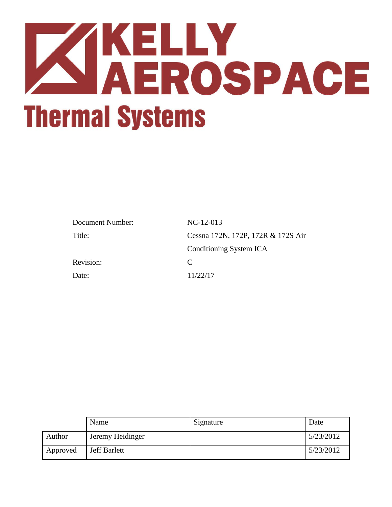

| Document Number: | $NC-12-013$                        |
|------------------|------------------------------------|
| Title:           | Cessna 172N, 172P, 172R & 172S Air |
|                  | Conditioning System ICA            |
| Revision:        | $\mathcal{C}_{\mathcal{C}}$        |
| Date:            | 11/22/17                           |

|          | Name                | Signature | Date      |
|----------|---------------------|-----------|-----------|
| Author   | Jeremy Heidinger    |           | 5/23/2012 |
| Approved | <b>Jeff Barlett</b> |           | 5/23/2012 |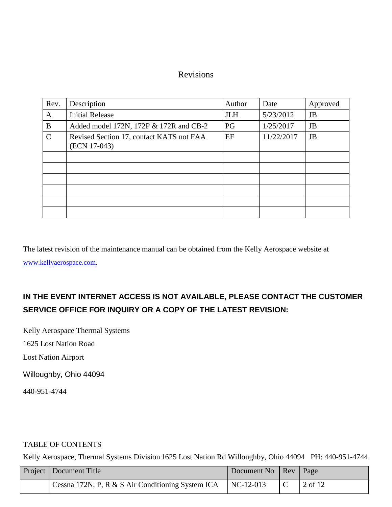## Revisions

| Rev.          | Description                                              | Author     | Date       | Approved  |
|---------------|----------------------------------------------------------|------------|------------|-----------|
| A             | <b>Initial Release</b>                                   | <b>JLH</b> | 5/23/2012  | JB        |
| B             | Added model 172N, 172P & 172R and CB-2                   | PG         | 1/25/2017  | JB        |
| $\mathcal{C}$ | Revised Section 17, contact KATS not FAA<br>(ECN 17-043) | EF         | 11/22/2017 | <b>JB</b> |
|               |                                                          |            |            |           |
|               |                                                          |            |            |           |
|               |                                                          |            |            |           |
|               |                                                          |            |            |           |
|               |                                                          |            |            |           |
|               |                                                          |            |            |           |

The latest revision of the maintenance manual can be obtained from the Kelly Aerospace website at

[www.kellyaerospace.com](http://www.kellyaerospace.com/).

# **IN THE EVENT INTERNET ACCESS IS NOT AVAILABLE, PLEASE CONTACT THE CUSTOMER SERVICE OFFICE FOR INQUIRY OR A COPY OF THE LATEST REVISION:**

Kelly Aerospace Thermal Systems

1625 Lost Nation Road

Lost Nation Airport

Willoughby, Ohio 44094

440-951-4744

## TABLE OF CONTENTS

| <b>Project</b>   Document Title                   | Document No   Rev   Page |                     |
|---------------------------------------------------|--------------------------|---------------------|
| Cessna 172N, P, R & S Air Conditioning System ICA | $NC-12-013$              | $\frac{1}{2}$ of 12 |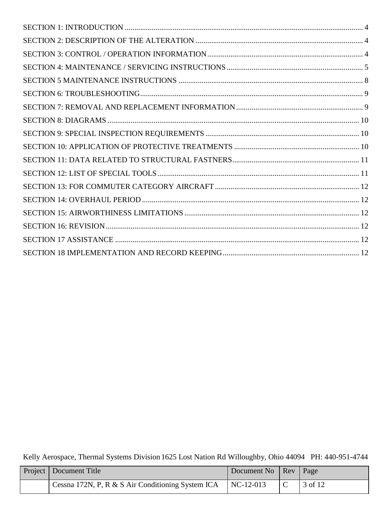| Project   Document Title                          | Document No   Rev   Page |                     |
|---------------------------------------------------|--------------------------|---------------------|
| Cessna 172N, P, R & S Air Conditioning System ICA | $NC-12-013$              | $\frac{1}{2}$ of 12 |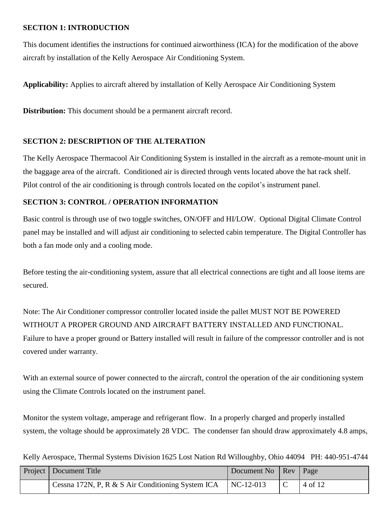## <span id="page-3-0"></span>**SECTION 1: INTRODUCTION**

This document identifies the instructions for continued airworthiness (ICA) for the modification of the above aircraft by installation of the Kelly Aerospace Air Conditioning System.

**Applicability:** Applies to aircraft altered by installation of Kelly Aerospace Air Conditioning System

**Distribution:** This document should be a permanent aircraft record.

#### <span id="page-3-1"></span>**SECTION 2: DESCRIPTION OF THE ALTERATION**

The Kelly Aerospace Thermacool Air Conditioning System is installed in the aircraft as a remote-mount unit in the baggage area of the aircraft. Conditioned air is directed through vents located above the hat rack shelf. Pilot control of the air conditioning is through controls located on the copilot's instrument panel.

#### <span id="page-3-2"></span>**SECTION 3: CONTROL / OPERATION INFORMATION**

Basic control is through use of two toggle switches, ON/OFF and HI/LOW. Optional Digital Climate Control panel may be installed and will adjust air conditioning to selected cabin temperature. The Digital Controller has both a fan mode only and a cooling mode.

Before testing the air-conditioning system, assure that all electrical connections are tight and all loose items are secured.

Note: The Air Conditioner compressor controller located inside the pallet MUST NOT BE POWERED WITHOUT A PROPER GROUND AND AIRCRAFT BATTERY INSTALLED AND FUNCTIONAL. Failure to have a proper ground or Battery installed will result in failure of the compressor controller and is not covered under warranty.

With an external source of power connected to the aircraft, control the operation of the air conditioning system using the Climate Controls located on the instrument panel.

Monitor the system voltage, amperage and refrigerant flow. In a properly charged and properly installed system, the voltage should be approximately 28 VDC. The condenser fan should draw approximately 4.8 amps,

| Project   Document Title                                      | Document No   Rev   Page |         |
|---------------------------------------------------------------|--------------------------|---------|
| Cessna 172N, P, R & S Air Conditioning System ICA   NC-12-013 |                          | 4 of 12 |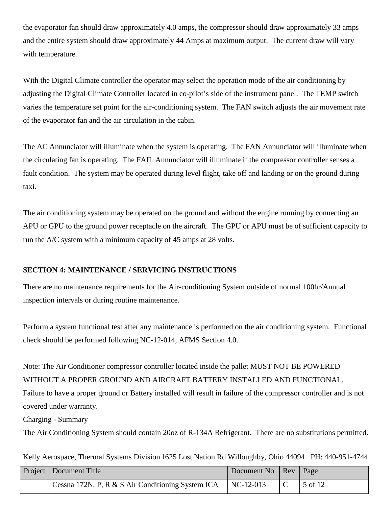the evaporator fan should draw approximately 4.0 amps, the compressor should draw approximately 33 amps and the entire system should draw approximately 44 Amps at maximum output. The current draw will vary with temperature.

With the Digital Climate controller the operator may select the operation mode of the air conditioning by adjusting the Digital Climate Controller located in co-pilot's side of the instrument panel. The TEMP switch varies the temperature set point for the air-conditioning system. The FAN switch adjusts the air movement rate of the evaporator fan and the air circulation in the cabin.

The AC Annunciator will illuminate when the system is operating. The FAN Annunciator will illuminate when the circulating fan is operating. The FAIL Annunciator will illuminate if the compressor controller senses a fault condition. The system may be operated during level flight, take off and landing or on the ground during taxi.

The air conditioning system may be operated on the ground and without the engine running by connecting an APU or GPU to the ground power receptacle on the aircraft. The GPU or APU must be of sufficient capacity to run the A/C system with a minimum capacity of 45 amps at 28 volts.

## <span id="page-4-0"></span>**SECTION 4: MAINTENANCE / SERVICING INSTRUCTIONS**

There are no maintenance requirements for the Air-conditioning System outside of normal 100hr/Annual inspection intervals or during routine maintenance.

Perform a system functional test after any maintenance is performed on the air conditioning system. Functional check should be performed following NC-12-014, AFMS Section 4.0.

Note: The Air Conditioner compressor controller located inside the pallet MUST NOT BE POWERED WITHOUT A PROPER GROUND AND AIRCRAFT BATTERY INSTALLED AND FUNCTIONAL. Failure to have a proper ground or Battery installed will result in failure of the compressor controller and is not covered under warranty.

Charging - Summary

The Air Conditioning System should contain 20oz of R-134A Refrigerant. There are no substitutions permitted.

|  | Kelly Aerospace, Thermal Systems Division 1625 Lost Nation Rd Willoughby, Ohio 44094 PH: 440-951-4744 |  |
|--|-------------------------------------------------------------------------------------------------------|--|
|  |                                                                                                       |  |

| Project   Document Title                          | Document No   Rev   Page |                 |
|---------------------------------------------------|--------------------------|-----------------|
| Cessna 172N, P, R & S Air Conditioning System ICA | $NC-12-013$              | $\vert 5$ of 12 |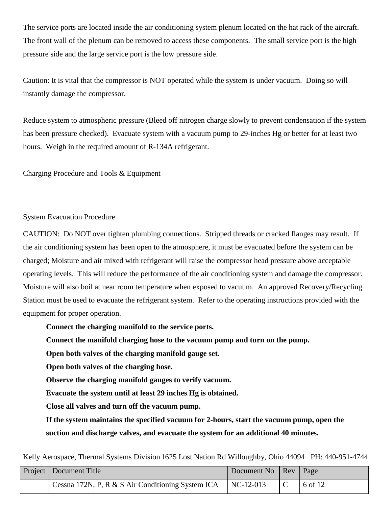The service ports are located inside the air conditioning system plenum located on the hat rack of the aircraft. The front wall of the plenum can be removed to access these components. The small service port is the high pressure side and the large service port is the low pressure side.

Caution: It is vital that the compressor is NOT operated while the system is under vacuum. Doing so will instantly damage the compressor.

Reduce system to atmospheric pressure (Bleed off nitrogen charge slowly to prevent condensation if the system has been pressure checked). Evacuate system with a vacuum pump to 29-inches Hg or better for at least two hours. Weigh in the required amount of R-134A refrigerant.

Charging Procedure and Tools & Equipment

#### System Evacuation Procedure

CAUTION: Do NOT over tighten plumbing connections. Stripped threads or cracked flanges may result. If the air conditioning system has been open to the atmosphere, it must be evacuated before the system can be charged; Moisture and air mixed with refrigerant will raise the compressor head pressure above acceptable operating levels. This will reduce the performance of the air conditioning system and damage the compressor. Moisture will also boil at near room temperature when exposed to vacuum. An approved Recovery/Recycling Station must be used to evacuate the refrigerant system. Refer to the operating instructions provided with the equipment for proper operation.

**Connect the charging manifold to the service ports.**

**Connect the manifold charging hose to the vacuum pump and turn on the pump.**

**Open both valves of the charging manifold gauge set.**

**Open both valves of the charging hose.**

**Observe the charging manifold gauges to verify vacuum.**

**Evacuate the system until at least 29 inches Hg is obtained.**

**Close all valves and turn off the vacuum pump.**

**If the system maintains the specified vacuum for 2-hours, start the vacuum pump, open the suction and discharge valves, and evacuate the system for an additional 40 minutes.**

Kelly Aerospace, Thermal Systems Division 1625 Lost Nation Rd Willoughby, Ohio 44094 PH: 440-951-4744

| <b>Project</b>   Document Title                   | Document No   Rev   Page |           |
|---------------------------------------------------|--------------------------|-----------|
| Cessna 172N, P, R & S Air Conditioning System ICA | $NC-12-013$              | $6$ of 12 |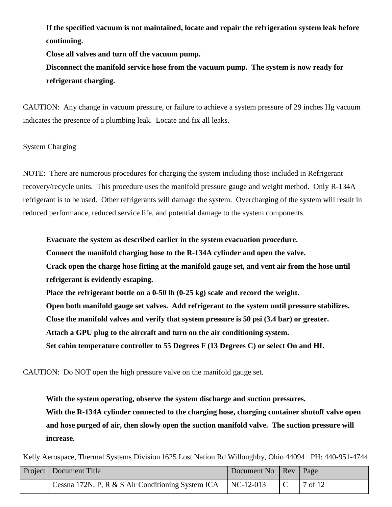**If the specified vacuum is not maintained, locate and repair the refrigeration system leak before continuing.**

**Close all valves and turn off the vacuum pump.**

**Disconnect the manifold service hose from the vacuum pump. The system is now ready for refrigerant charging.**

CAUTION: Any change in vacuum pressure, or failure to achieve a system pressure of 29 inches Hg vacuum indicates the presence of a plumbing leak. Locate and fix all leaks.

System Charging

NOTE: There are numerous procedures for charging the system including those included in Refrigerant recovery/recycle units. This procedure uses the manifold pressure gauge and weight method. Only R-134A refrigerant is to be used. Other refrigerants will damage the system. Overcharging of the system will result in reduced performance, reduced service life, and potential damage to the system components.

**Evacuate the system as described earlier in the system evacuation procedure. Connect the manifold charging hose to the R-134A cylinder and open the valve.**

**Crack open the charge hose fitting at the manifold gauge set, and vent air from the hose until refrigerant is evidently escaping.**

**Place the refrigerant bottle on a 0-50 lb (0-25 kg) scale and record the weight.**

**Open both manifold gauge set valves. Add refrigerant to the system until pressure stabilizes.**

**Close the manifold valves and verify that system pressure is 50 psi (3.4 bar) or greater.**

**Attach a GPU plug to the aircraft and turn on the air conditioning system.**

**Set cabin temperature controller to 55 Degrees F (13 Degrees C) or select On and HI.**

CAUTION: Do NOT open the high pressure valve on the manifold gauge set.

**With the system operating, observe the system discharge and suction pressures. With the R-134A cylinder connected to the charging hose, charging container shutoff valve open and hose purged of air, then slowly open the suction manifold valve. The suction pressure will increase.**

| Project   Document Title                          | Document No   Rev   Page |         |
|---------------------------------------------------|--------------------------|---------|
| Cessna 172N, P, R & S Air Conditioning System ICA | $NC-12-013$              | 7 of 12 |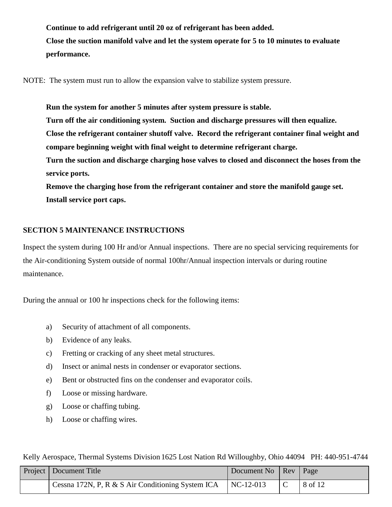**Continue to add refrigerant until 20 oz of refrigerant has been added. Close the suction manifold valve and let the system operate for 5 to 10 minutes to evaluate performance.**

NOTE: The system must run to allow the expansion valve to stabilize system pressure.

**Run the system for another 5 minutes after system pressure is stable. Turn off the air conditioning system. Suction and discharge pressures will then equalize. Close the refrigerant container shutoff valve. Record the refrigerant container final weight and compare beginning weight with final weight to determine refrigerant charge. Turn the suction and discharge charging hose valves to closed and disconnect the hoses from the service ports.**

**Remove the charging hose from the refrigerant container and store the manifold gauge set. Install service port caps.**

#### <span id="page-7-0"></span>**SECTION 5 MAINTENANCE INSTRUCTIONS**

Inspect the system during 100 Hr and/or Annual inspections. There are no special servicing requirements for the Air-conditioning System outside of normal 100hr/Annual inspection intervals or during routine maintenance.

During the annual or 100 hr inspections check for the following items:

- a) Security of attachment of all components.
- b) Evidence of any leaks.
- c) Fretting or cracking of any sheet metal structures.
- d) Insect or animal nests in condenser or evaporator sections.
- e) Bent or obstructed fins on the condenser and evaporator coils.
- f) Loose or missing hardware.
- g) Loose or chaffing tubing.
- h) Loose or chaffing wires.

| <b>Project</b>   Document Title                                     | Document No   Rev   Page |         |
|---------------------------------------------------------------------|--------------------------|---------|
| Cessna 172N, P, R & S Air Conditioning System ICA $\vert$ NC-12-013 |                          | 8 of 12 |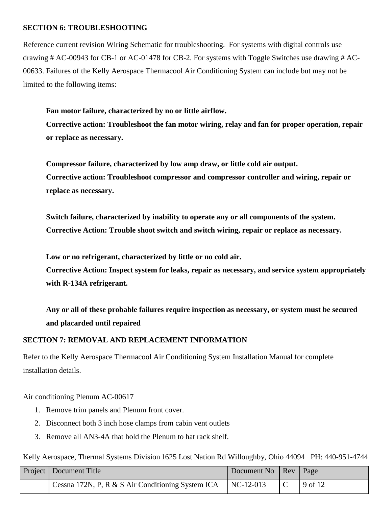#### <span id="page-8-0"></span>**SECTION 6: TROUBLESHOOTING**

Reference current revision Wiring Schematic for troubleshooting. For systems with digital controls use drawing # AC-00943 for CB-1 or AC-01478 for CB-2. For systems with Toggle Switches use drawing # AC-00633. Failures of the Kelly Aerospace Thermacool Air Conditioning System can include but may not be limited to the following items:

**Fan motor failure, characterized by no or little airflow. Corrective action: Troubleshoot the fan motor wiring, relay and fan for proper operation, repair or replace as necessary.**

**Compressor failure, characterized by low amp draw, or little cold air output. Corrective action: Troubleshoot compressor and compressor controller and wiring, repair or replace as necessary.**

**Switch failure, characterized by inability to operate any or all components of the system. Corrective Action: Trouble shoot switch and switch wiring, repair or replace as necessary.**

**Low or no refrigerant, characterized by little or no cold air.** 

**Corrective Action: Inspect system for leaks, repair as necessary, and service system appropriately with R-134A refrigerant.**

**Any or all of these probable failures require inspection as necessary, or system must be secured and placarded until repaired**

#### <span id="page-8-1"></span>**SECTION 7: REMOVAL AND REPLACEMENT INFORMATION**

Refer to the Kelly Aerospace Thermacool Air Conditioning System Installation Manual for complete installation details.

#### Air conditioning Plenum AC-00617

- 1. Remove trim panels and Plenum front cover.
- 2. Disconnect both 3 inch hose clamps from cabin vent outlets
- 3. Remove all AN3-4A that hold the Plenum to hat rack shelf.

| Project   Document Title                                            | Document No   Rev   Page |  |         |
|---------------------------------------------------------------------|--------------------------|--|---------|
| Cessna 172N, P, R & S Air Conditioning System ICA $\vert$ NC-12-013 |                          |  | 9 of 12 |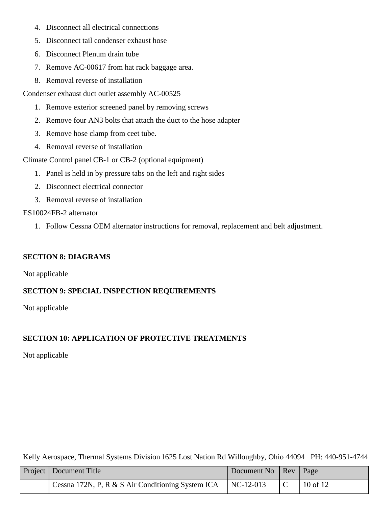- 4. Disconnect all electrical connections
- 5. Disconnect tail condenser exhaust hose
- 6. Disconnect Plenum drain tube
- 7. Remove AC-00617 from hat rack baggage area.
- 8. Removal reverse of installation

Condenser exhaust duct outlet assembly AC-00525

- 1. Remove exterior screened panel by removing screws
- 2. Remove four AN3 bolts that attach the duct to the hose adapter
- 3. Remove hose clamp from ceet tube.
- 4. Removal reverse of installation

Climate Control panel CB-1 or CB-2 (optional equipment)

- 1. Panel is held in by pressure tabs on the left and right sides
- 2. Disconnect electrical connector
- 3. Removal reverse of installation

#### ES10024FB-2 alternator

1. Follow Cessna OEM alternator instructions for removal, replacement and belt adjustment.

## <span id="page-9-0"></span>**SECTION 8: DIAGRAMS**

Not applicable

## <span id="page-9-1"></span>**SECTION 9: SPECIAL INSPECTION REQUIREMENTS**

Not applicable

## <span id="page-9-2"></span>**SECTION 10: APPLICATION OF PROTECTIVE TREATMENTS**

Not applicable

| <b>Project</b>   Document Title                   | Document No   Rev   Page |              |  |  |
|---------------------------------------------------|--------------------------|--------------|--|--|
| Cessna 172N, P, R & S Air Conditioning System ICA | $NC-12-013$              | $10$ of $12$ |  |  |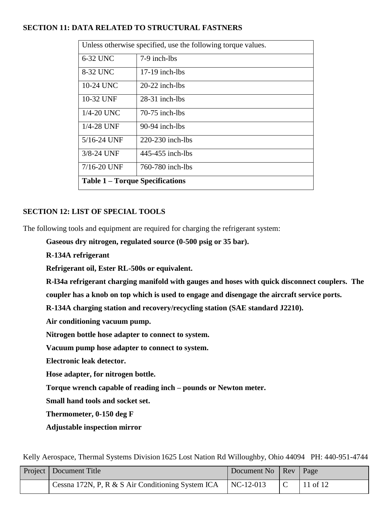## <span id="page-10-0"></span>**SECTION 11: DATA RELATED TO STRUCTURAL FASTNERS**

| Unless otherwise specified, use the following torque values. |                  |  |  |  |  |
|--------------------------------------------------------------|------------------|--|--|--|--|
| 6-32 UNC                                                     | 7-9 inch-lbs     |  |  |  |  |
| 8-32 UNC                                                     | $17-19$ inch-lbs |  |  |  |  |
| 10-24 UNC                                                    | $20-22$ inch-lbs |  |  |  |  |
| 10-32 UNF                                                    | $28-31$ inch-lbs |  |  |  |  |
| $1/4 - 20$ UNC                                               | $70-75$ inch-lbs |  |  |  |  |
| $1/4 - 28$ UNF                                               | $90-94$ inch-lbs |  |  |  |  |
| 5/16-24 UNF                                                  | 220-230 inch-lbs |  |  |  |  |
| 3/8-24 UNF                                                   | 445-455 inch-lbs |  |  |  |  |
| 7/16-20 UNF                                                  | 760-780 inch-lbs |  |  |  |  |
| <b>Table 1 – Torque Specifications</b>                       |                  |  |  |  |  |

## <span id="page-10-1"></span>**SECTION 12: LIST OF SPECIAL TOOLS**

The following tools and equipment are required for charging the refrigerant system:

**Gaseous dry nitrogen, regulated source (0-500 psig or 35 bar).**

**R-134A refrigerant**

**Refrigerant oil, Ester RL-500s or equivalent.**

**R-l34a refrigerant charging manifold with gauges and hoses with quick disconnect couplers. The coupler has a knob on top which is used to engage and disengage the aircraft service ports.**

**R-134A charging station and recovery/recycling station (SAE standard J2210).**

**Air conditioning vacuum pump.**

**Nitrogen bottle hose adapter to connect to system.**

**Vacuum pump hose adapter to connect to system.**

**Electronic leak detector.**

**Hose adapter, for nitrogen bottle.**

**Torque wrench capable of reading inch – pounds or Newton meter.**

**Small hand tools and socket set.**

**Thermometer, 0-150 deg F**

**Adjustable inspection mirror**

| Project   Document Title                          | Document No   Rev   Page |          |
|---------------------------------------------------|--------------------------|----------|
| Cessna 172N, P, R & S Air Conditioning System ICA | NC-12-013                | 11 of 12 |